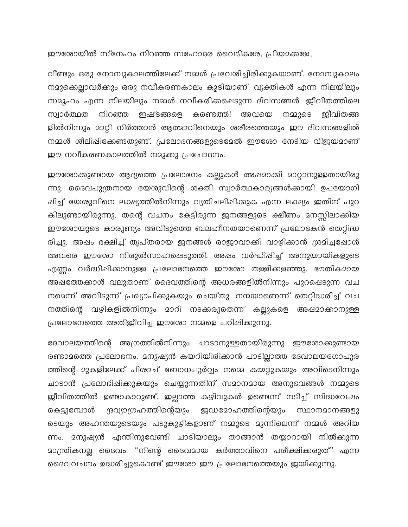ഈരോയിൽ സ്നേഹം നിറഞ്ഞ സഹോദര വൈദികരേ, പ്രിയമക്കളേ,

വീണ്ടും ഒരു നോമ്പുകാലത്തിലേക്ക് നമ്മൾ പ്രവേശിച്ചിരിക്കുകയാണ്. നോമ്പുകാലം നമുക്കെല്ലാവർക്കും ഒരു നവീകരണകാലം കൂടിയാണ്. വ്യക്തികൾ എന്ന നിലയിലും സമൂഹം എന്ന നിലയിലും നമ്മൾ നവീകരിക്കപ്പെടുന്ന ദിവസങ്ങൾ. ജീവിതത്തിലെ ഇഷ്ടങ്ങളെ കണ്ടെത്തി ജീവിതങ്ങ സ്വാർത്ഥത നിറഞ്ഞ അവയെ നമ്മുടെ ളിൽനിന്നും മാറ്റി നിർത്താൻ ആത്മാവിനെയും ശരീരത്തെയും ഈ ദിവസങ്ങളിൽ നമ്മൾ ശീലിഷിക്കേണ്ടതുണ്ട്. പ്രലോഭനങ്ങളുടെമേൽ ഈശോ നേടിയ വിജയമാണ് ഈ നവീകരണകാലത്തിൽ നമുക്കു പ്രചോദനം.

ഈശോക്കുണ്ടായ ആദ്യത്തെ പ്രലോഭനം കല്ലുകൾ അഷമാക്കി മാറ്റാനുള്ളതായിരു ന്നു. ദൈവപുത്രനായ യേശുവിന്റെ ശക്തി സ്വാർത്ഥകാര്യങ്ങൾക്കായി ഉപയോഗി ഷിച്ച് യേശുവിനെ ലക്ഷ്യത്തിൽനിന്നും വ്യതിചലിഷിക്കുക എന്ന ലക്ഷ്യം ഇതിന് പുറ കിലുണ്ടായിരുന്നു. തന്റെ വചനം കേട്ടിരുന്ന ജനങ്ങളുടെ ക്ഷീണം മനസ്സിലാക്കിയ ഈരോയുടെ കാരുണ്യം അവിടുത്തെ ബലഹീനതയാണെന്ന് പ്രലോഭകൻ തെറ്റിദ്ധ രിച്ചു. അപ്പം ഭക്ഷിച്ച് തൃപ്തരായ ജനങ്ങൾ രാജാവാക്കി വാഴിക്കാൻ ശ്രമിച്ചപ്പോൾ അവരെ ഈശോ നിരുൽസാഹപ്പെടുത്തി. അഷം വർദ്ധിപ്പിച്ച് അനുയായികളുടെ എണ്ണം വർദ്ധിപ്പിക്കാനുള്ള പ്രലോഭനത്തെ ഈശോ തള്ളിക്കളഞ്ഞു. ഭൗതികമായ അപ്പത്തേക്കാൾ വലുതാണ് ദൈവത്തിന്റെ അധരങ്ങളിൽനിന്നും പുറപ്പെടുന്ന വച നമെന്ന് അവിടുന്ന് പ്രഖ്യാപിക്കുകയും ചെയ്തു. നന്മയാണെന്ന് തെറ്റിദ്ധരിച്ച് വച നത്തിന്റെ വഴികളിൽനിന്നും മാറി നടക്കരുതെന്ന് കല്ലുകളെ അഷമാക്കാനുള്ള പ്രലോഭനത്തെ അതിജീവിച്ച ഈശോ നമ്മളെ പഠിഷിക്കുന്നു.

ദേവാലയത്തിന്റെ അഗ്രത്തിൽനിന്നും ചാടാനുള്ളതായിരുന്നു ഈശോക്കുണ്ടായ രണ്ടാമത്തെ പ്രലോഭനം. മനുഷ്യൻ കയറിയിരിക്കാൻ പാടില്ലാത്ത ദേവാലയഗോപുര ത്തിന്റെ മുകളിലേക്ക് പിശാച് ബോധപൂർവ്വം നമ്മെ കയറ്റുകയും അവിടെനിന്നും ചാടാൻ പ്രലോഭിഷിക്കുകയും ചെയ്യുന്നതിന് സമാനമായ അനുഭവങ്ങൾ നമ്മുടെ ജീവിതത്തിൽ ഉണ്ടാകാറുണ്ട്. ഇല്ലാത്ത കഴിവുകൾ ഉണ്ടെന്ന് നടിച്ച് സിദ്ധവേഷം കെട്ടുമ്പോൾ ദ്രവ്യാഗ്രഹത്തിന്റെയും ജഡ**ോഹത്തിന്റെയും** സ്ഥാനമാനങ്ങളു ടെയും അഹന്തയുടെയും പടുകുഴികളാണ് നമ്മുടെ മുന്നിലെന്ന് നമ്മൾ അറിയ ണം. മനുഷ്യൻ എന്തിനുവേണ്ടി ചാടിയാലും താങ്ങാൻ തയ്യാറായി നിൽക്കുന്ന <u>ാാന്ത്രികനല്ല</u> ദൈവം. "നിന്റെ ദൈവമായ കർത്താവിനെ പരീക്ഷിക്കരുത്" എന്ന ദൈവവചനം ഉദ്ധരിച്ചുകൊണ്ട് ഈശോ ഈ പ്രലോഭനത്തെയും ജയിക്കുന്നു.